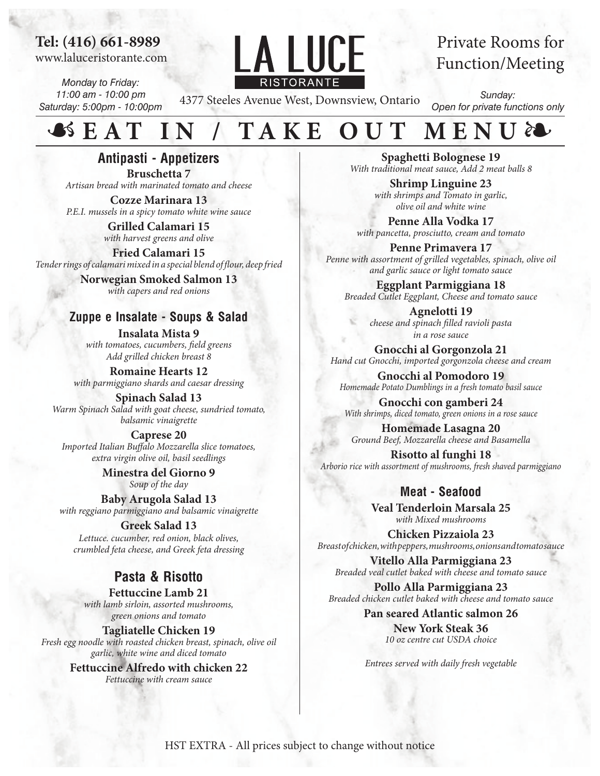## **Tel: (416) 661-8989**

www.laluceristorante.com

*Monday to Friday: 11:00 am - 10:00 pm Saturday: 5:00pm - 10:00pm*



# Private Rooms for Function/Meeting

4377 Steeles Avenue West, Downsview, Ontario

*Sunday: Open for private functions only*

## **SEAT** ❧ **EAT IN / TAKE OUT MENU**

**Antipasti** *Artisan bread with marinated tomato and cheese* **Antipasti - Appetizers Bruschetta 7**

 *Bruschetta - 6 Pieces* \$6 **Cozze Marinara 13** *OLLE Mallilaia 19*<br>*DFI muscle in a spicy tomato white wine squee P.E.I. mussels in a spicy tomato white wine sauce*  $\begin{bmatrix} \text{ceil} & \text{red} \\ \text{red} & \text{blue} \end{bmatrix}$ 

*Antiparty diamership with harvest greens and olive* **Grilled Calamari 15** 

 $\mathbf{F}$   $\mathbf{A} \mathbf{C}$   $\mathbf{A} \mathbf{S}$   $\mathbf{A} \mathbf{F}$ **FITEU CATAINATI 15**<br>mdorrings of colomari mixed in a special blond of flowr doep fried  *Mussels Marinara* \$10 *Tender rings of calamari mixed in a special blend of our, deep fried* **Fried Calamari 15**

*Provegian Smoked Salmon 13 <i>with capers and red onions* 

### **Zuppe e Insalate - Soups & Salad**

**Salads/Soup** *With tomatoes, cucumbers, field greens*<br>Addamillad diction luxest 8 *Add grilled chicken breast 8* **Insalata Mista 9**

*Grilled Chicken Caesar Salad* \$14 with parmiggiano shards and caesar dressing **Romaine Hearts 12**

 *Tomato/Bufala Mozzarella Salad* \$14 Warm Spinach Salad with goat cheese, sundried tomato,<br>balsamic vingigrette **Spinach Salad 13** *balsamic vinaigrette*

 *Arugala with Parmiggiano Shards* \$10 **Caprese 20** *Imported Italian Buffalo Mozzarella slice tomatoes, extra virgin olive oil, basil seedlings*

**Example 3**<br>Soup of the day **Minestra del Giorno 9**

**Baby Arugola Salad 13** *Davy Avigora Salau 15*<br>with reggiano parmiggiano and halsomic vinaigrette with reggiano parmiggiano and balsamic vinaigrette<br>Cross**i**c Salod 12

*CHER SAIAU 15*<br>*Lettuce. cucumber, red onion, black olives, zettace, cacamoer, rea onton, cack onves,*<br>*crumbled feta cheese, and Greek feta dressing* **Greek Salad 13**

*<i>Principal street, which creatly were seen for the corresponding* 

#### *Pasta & Risotto Penne Primavel Primavera / Cream Tomato Sauce* $\frac{1}{2}$

*Pettuccine Lamp 21 with lamb sirloin, assorted mushrooms,*<br>*gram onions and tomato* **Fettuccine Lamb 21** *green onions and tomato*

 $\frac{1}{2}$  **Capellini** Agriculture of  $\frac{1}{2}$  **Capellini**  $\frac{1}{2}$  **Capellini**  $\frac{1}{2}$  **Capellini**  $\frac{1}{2}$  **Capellini**  $\frac{1}{2}$  **Capellini**  $\frac{1}{2}$  **Capellini**  $\frac{1}{2}$  **Capellini**  $\frac{1}{2}$  **Capellini**  $\frac{1}{2}$  *Linguini Shrimps & Sea Scallops /Garlic/olive oil/white wine* \$20 *Fresh egg noodle with roasted chicken breast, spinach, olive oil*  **Tagliatelle Chicken 19** *garlic, white wine and diced tomato*

> **Fettuccine Alfredo with chicken 22** *Fettuccine with cream sauce*

With traditional meat sauce, Add 2 meat balls 8 **Spaghetti Bolognese 19**

**Shrimp Linguine 23** *with shrimps and Tomato in garlic, <u>olive</u> oil and white wine* 

**Penne Alla Vodka 17** *with pancetta, prosciutto, cream and tomato* 

*Penne Primavera 17* Penne with assortment of grilled vegetables, spinach, olive oil *and garlic sauce or light tomato sauce* 

 *Sausage Sandwich* \$9 *Breaded Cutlet Eggplant, Cheese and tomato sauce* **Eggplant Parmiggiana 18** 

*Provide Sandwich With Provide 2021 Cheese and spinach filled ravioli pasta in a rose sauce*

 *Fresh Vegetable/potato* \$8 *Hand cut Gnocchi, imported gorgonzola cheese and cream* **Side Dishes Gnocchi al Gorgonzola 21**

**Extra ITALIAN Sausage** *Extra ITALIAN Sancton 19 Extra Grilled Chicken* \$5 *Homemade Potato Dumblings in a fresh tomato basil sauce* 

**Beverages** *With shrimps, diced tomato, green onions in a rose sauce*  **Gnocchi con gamberi 24**

**Homemade Lasagna 20**  *Milk* \$2.50 *Ground Beef, Mozzarella cheese and Basamella* 

*Alisotto al funghi 18 Ice Tea / Brio* \$2.00 *Arborio rice with assortment of mushrooms, fresh shaved parmiggiano* 

## *Espressor* **\$2.000 Meat - Seafood**  $\blacksquare$

**Veal Tenderloin Marsala 25** *Importing minimal with Mixed mushrooms* 

**Desserts Chicken Pizzaiola 23**  *Aranciata / Limonata* \$2.50 *Breast of chicken, with peppers, mushrooms, onions and tomato sauce*

**Vitello Alla Parmiggiana 23** *Breaded veal cutlet baked with cheese and tomato sauce*

**Pollo Alla Parmiggiana 23** *Breaded chicken cutlet baked with cheese and tomato sauce*

> **Pan seared Atlantic salmon 26 New York Steak 36** *10 oz centre cut USDA choice*

> *Entrees served with daily fresh vegetable*

*HST EXTRA*